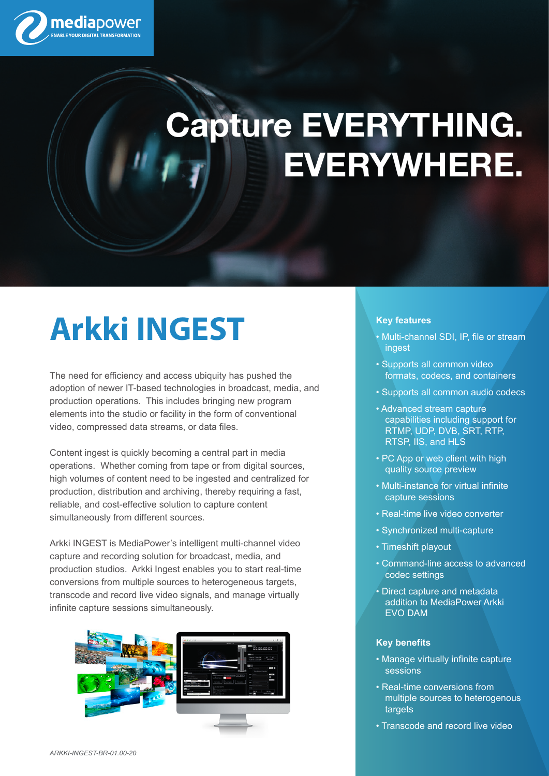

## **Capture EVERYTHING. EVERYWHERE.**

### **Arkki INGEST**

The need for efficiency and access ubiquity has pushed the adoption of newer IT-based technologies in broadcast, media, and production operations. This includes bringing new program elements into the studio or facility in the form of conventional video, compressed data streams, or data files.

Content ingest is quickly becoming a central part in media operations. Whether coming from tape or from digital sources, high volumes of content need to be ingested and centralized for production, distribution and archiving, thereby requiring a fast, reliable, and cost-effective solution to capture content simultaneously from different sources.

Arkki INGEST is MediaPower's intelligent multi-channel video capture and recording solution for broadcast, media, and production studios. Arkki Ingest enables you to start real-time conversions from multiple sources to heterogeneous targets, transcode and record live video signals, and manage virtually infinite capture sessions simultaneously.



#### **Key features**

- Multi-channel SDI, IP, file or stream ingest
- Supports all common video formats, codecs, and containers
- Supports all common audio codecs
- Advanced stream capture capabilities including support for RTMP, UDP, DVB, SRT, RTP, RTSP, IIS, and HLS
- PC App or web client with high quality source preview
- Multi-instance for virtual infinite capture sessions
- Real-time live video converter
- Synchronized multi-capture
- Timeshift playout
- Command-line access to advanced codec settings
- Direct capture and metadata addition to MediaPower Arkki EVO DAM

#### **Key benefits**

- Manage virtually infinite capture sessions
- Real-time conversions from multiple sources to heterogenous targets
- Transcode and record live video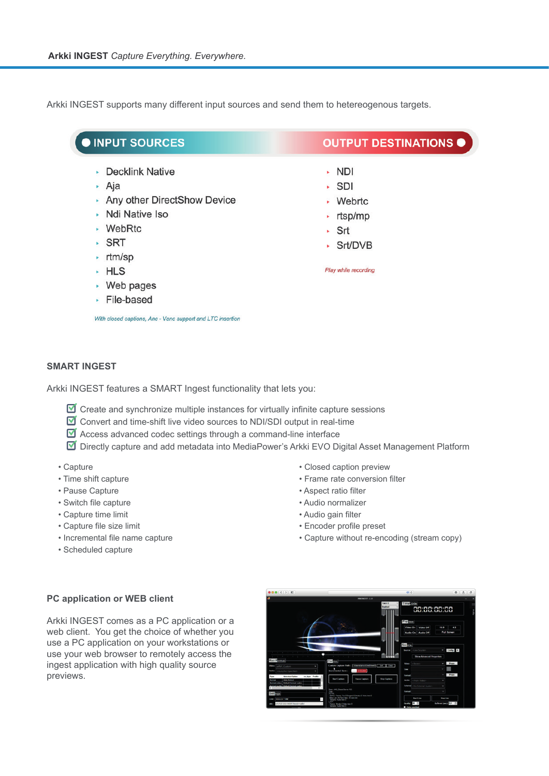Arkki INGEST supports many different input sources and send them to hetereogenous targets.

| <b>OINPUT SOURCES</b>                                      | <b>OUTPUT DESTINATIONS O</b> |
|------------------------------------------------------------|------------------------------|
| • Decklink Native                                          | ▸ NDI                        |
| ▸ Aja                                                      | $\cdot$ SDI                  |
| Any other DirectShow Device                                | • Webrtc                     |
| • Ndi Native Iso                                           | rtsp/mp<br>×.                |
| $\cdot$ WebRtc                                             | $\cdot$ Srt                  |
| $\cdot$ SRT                                                | · Srt/DVB                    |
| $\cdot$ rtm/sp                                             |                              |
| $-HLS$                                                     | Play while recording         |
| • Web pages                                                |                              |
| File-based                                                 |                              |
| With closed captions, Anc - Vanc support and LTC insertion |                              |

### **SMART INGEST**

Arkki INGEST features a SMART Ingest functionality that lets you:

- $\blacksquare$  Create and synchronize multiple instances for virtually infinite capture sessions
- $\blacksquare$  Convert and time-shift live video sources to NDI/SDI output in real-time
- $\blacksquare$  Access advanced codec settings through a command-line interface

■ Directly capture and add metadata into MediaPower's Arkki EVO Digital Asset Management Platform

- Capture
- Time shift capture
- Pause Capture
- Switch file capture
- Capture time limit
- Capture file size limit
- Incremental file name capture
- Scheduled capture
- Closed caption preview
- Frame rate conversion filter
- Aspect ratio filter
- Audio normalizer
- Audio gain filter
- Encoder profile preset
- Capture without re-encoding (stream copy)

#### **PC application or WEB client**

Arkki INGEST comes as a PC application or a web client. You get the choice of whether you use a PC application on your workstations or use your web browser to remotely access the ingest application with high quality source previews.

| 000(1)                                                                                |                                                                                                | 48.0.                                                                            | $\sigma$<br>$^{\circ}$<br>$\mathbb{A}$             |
|---------------------------------------------------------------------------------------|------------------------------------------------------------------------------------------------|----------------------------------------------------------------------------------|----------------------------------------------------|
|                                                                                       | FINE INSCIT-1.10                                                                               |                                                                                  |                                                    |
|                                                                                       | Track B<br>Explored                                                                            | Time 2006<br>00:00:00:00                                                         |                                                    |
|                                                                                       |                                                                                                | Previewa<br>Video On Video Off<br>Audio On Audio Off                             | $\ddot{\phantom{1}}$<br>16.9<br><b>Full Screen</b> |
| the control of the con-<br>$\sim$<br>Rec Roman                                        | Control                                                                                        | <b>Source</b><br><b>Source: Clien Sources</b><br><b>Show Advanced Properties</b> | Config R                                           |
| Veloc<br>eMVF. Custom                                                                 | Стомманосомольно в 14 Секс<br>Custom Capture Path 1<br>٠                                       | Victoria<br>«None»                                                               | Props<br>٠                                         |
| cluta/list Specified><br>and in                                                       | <b>Incremental Save</b><br><b>HEARLE</b><br>$\overline{\phantom{a}}$                           | ĵ                                                                                |                                                    |
| <b>Selected Option</b><br>or how Profile<br><b>Type</b>                               |                                                                                                | former                                                                           | <b>Props</b><br>٠                                  |
| <b>Auto Select</b><br><b>Service</b><br>Default formal codes<br><b>Barmat Ivalent</b> | <b>Start Capture</b><br>Pause Capture<br><b>Stop Capture</b>                                   | Audio<br>«From Video»                                                            |                                                    |
|                                                                                       |                                                                                                | External chip European Austino-                                                  | ı                                                  |
|                                                                                       | State with Count Server PC<br>P.                                                               | former                                                                           |                                                    |
|                                                                                       |                                                                                                |                                                                                  |                                                    |
| San                                                                                   | 1014<br>Suffers Frames Fox 0 Deciped 0 Bendra 0 Video town 0<br>War Lat. At her less 20 needs. | <b>Start Line</b>                                                                | <b>Shop Lives</b>                                  |
| <b>MODESTOW</b><br><b>Text</b><br>ert.rt27.8.6.1.40017mode=caller                     | $\sim$<br><b>THE REAL PROP</b><br><b>AST</b><br>France: Brody C Wiley Leve D                   |                                                                                  | <b>Infered (sec) 1.0 10</b>                        |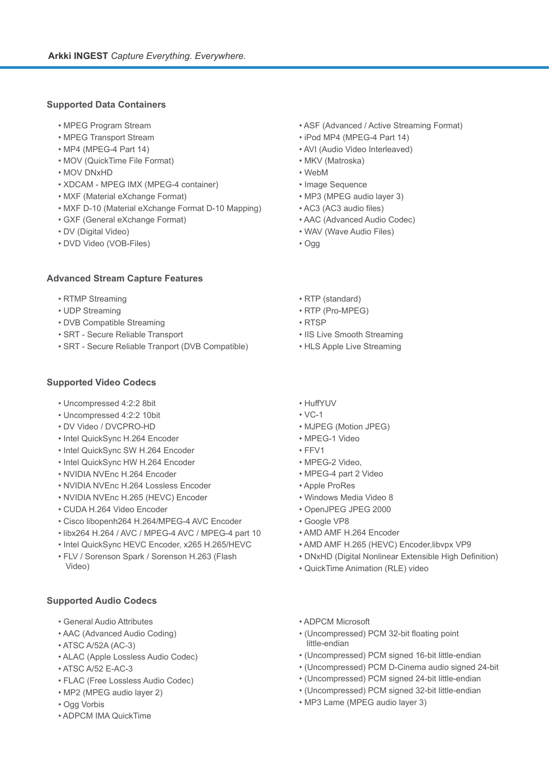#### **Supported Data Containers**

- MPEG Program Stream
- MPEG Transport Stream
- MP4 (MPEG-4 Part 14)
- MOV (QuickTime File Format)
- MOV DNxHD
- XDCAM MPEG IMX (MPEG-4 container)
- MXF (Material eXchange Format)
- MXF D-10 (Material eXchange Format D-10 Mapping)
- GXF (General eXchange Format)
- DV (Digital Video)
- DVD Video (VOB-Files)

#### **Advanced Stream Capture Features**

- RTMP Streaming
- UDP Streaming
- DVB Compatible Streaming
- SRT Secure Reliable Transport
- SRT Secure Reliable Tranport (DVB Compatible)

#### **Supported Video Codecs**

- Uncompressed 4:2:2 8bit
- Uncompressed 4:2:2 10bit
- DV Video / DVCPRO-HD
- Intel QuickSync H.264 Encoder
- Intel QuickSync SW H.264 Encoder
- Intel QuickSync HW H.264 Encoder
- NVIDIA NVEnc H.264 Encoder
- NVIDIA NVEnc H.264 Lossless Encoder
- NVIDIA NVEnc H.265 (HEVC) Encoder
- CUDA H.264 Video Encoder
- Cisco libopenh264 H.264/MPEG-4 AVC Encoder
- libx264 H.264 / AVC / MPEG-4 AVC / MPEG-4 part 10
- Intel QuickSync HEVC Encoder, x265 H.265/HEVC
- FLV / Sorenson Spark / Sorenson H.263 (Flash Video)

#### **Supported Audio Codecs**

- General Audio Attributes
- AAC (Advanced Audio Coding)
- ATSC A/52A (AC-3)
- ALAC (Apple Lossless Audio Codec)
- ATSC A/52 E-AC-3
- FLAC (Free Lossless Audio Codec)
- MP2 (MPEG audio layer 2)
- Ogg Vorbis
- ADPCM IMA QuickTime
- ASF (Advanced / Active Streaming Format)
- iPod MP4 (MPEG-4 Part 14)
- AVI (Audio Video Interleaved)
- MKV (Matroska)
- WebM
- Image Sequence
- MP3 (MPEG audio layer 3)
- AC3 (AC3 audio files)
- AAC (Advanced Audio Codec)
- WAV (Wave Audio Files)
- Ogg
- RTP (standard)
- RTP (Pro-MPEG)
- RTSP
- IIS Live Smooth Streaming
- HLS Apple Live Streaming
- HuffYUV
- VC-1
- MJPEG (Motion JPEG)
- MPEG-1 Video
- FFV1
- MPEG-2 Video,
- MPEG-4 part 2 Video
- Apple ProRes
- Windows Media Video 8
- OpenJPEG JPEG 2000
- Google VP8
- AMD AMF H.264 Encoder
- AMD AMF H.265 (HEVC) Encoder,libvpx VP9
- DNxHD (Digital Nonlinear Extensible High Definition)
- QuickTime Animation (RLE) video
- ADPCM Microsoft
- (Uncompressed) PCM 32-bit floating point little-endian
- (Uncompressed) PCM signed 16-bit little-endian
- (Uncompressed) PCM D-Cinema audio signed 24-bit
- (Uncompressed) PCM signed 24-bit little-endian
- (Uncompressed) PCM signed 32-bit little-endian
- MP3 Lame (MPEG audio layer 3)